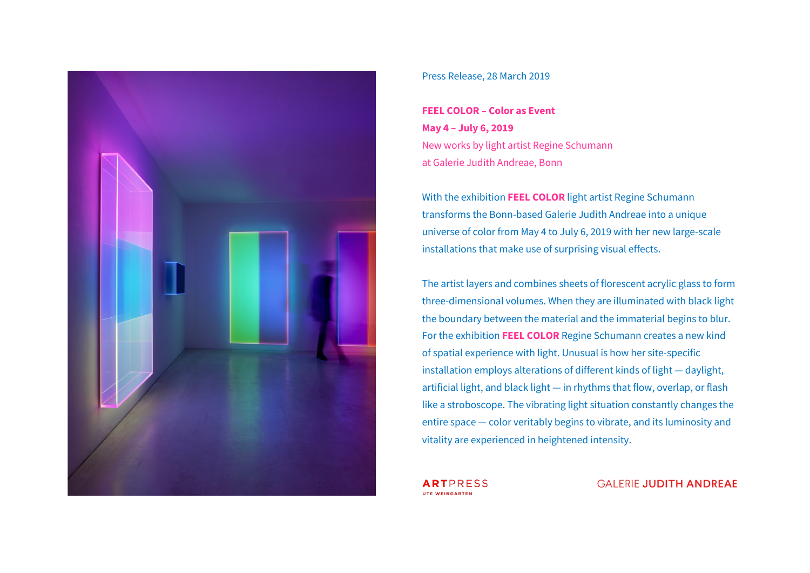

#### Press Release, 28 March 2019

**FEEL COLOR – Color as Event May 4 – July 6, 2019**  New works by light artist Regine Schumann at Galerie Judith Andreae, Bonn

With the exhibition **FEEL COLOR** light artist Regine Schumann transforms the Bonn-based Galerie Judith Andreae into a unique universe of color from May 4 to July 6, 2019 with her new large-scale installations that make use of surprising visual effects.

The artist layers and combines sheets of florescent acrylic glass to form three-dimensional volumes. When they are illuminated with black light the boundary between the material and the immaterial begins to blur. For the exhibition **FEEL COLOR** Regine Schumann creates a new kind of spatial experience with light. Unusual is how her site-specific installation employs alterations of different kinds of light — daylight, artificial light, and black light — in rhythms that flow, overlap, or flash like a stroboscope. The vibrating light situation constantly changes the entire space — color veritably begins to vibrate, and its luminosity and vitality are experienced in heightened intensity.

**ARTPRESS** UTE WEINGARTEN

**GALERIE JUDITH ANDREAE**